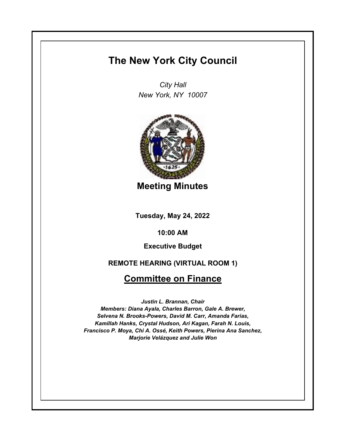# **The New York City Council**

*City Hall New York, NY 10007*



**Meeting Minutes**

**Tuesday, May 24, 2022**

**10:00 AM**

**Executive Budget**

**REMOTE HEARING (VIRTUAL ROOM 1)**

# **Committee on Finance**

*Justin L. Brannan, Chair Members: Diana Ayala, Charles Barron, Gale A. Brewer, Selvena N. Brooks-Powers, David M. Carr, Amanda Farias, Kamillah Hanks, Crystal Hudson, Ari Kagan, Farah N. Louis, Francisco P. Moya, Chi A. Ossé, Keith Powers, Pierina Ana Sanchez, Marjorie Velázquez and Julie Won*